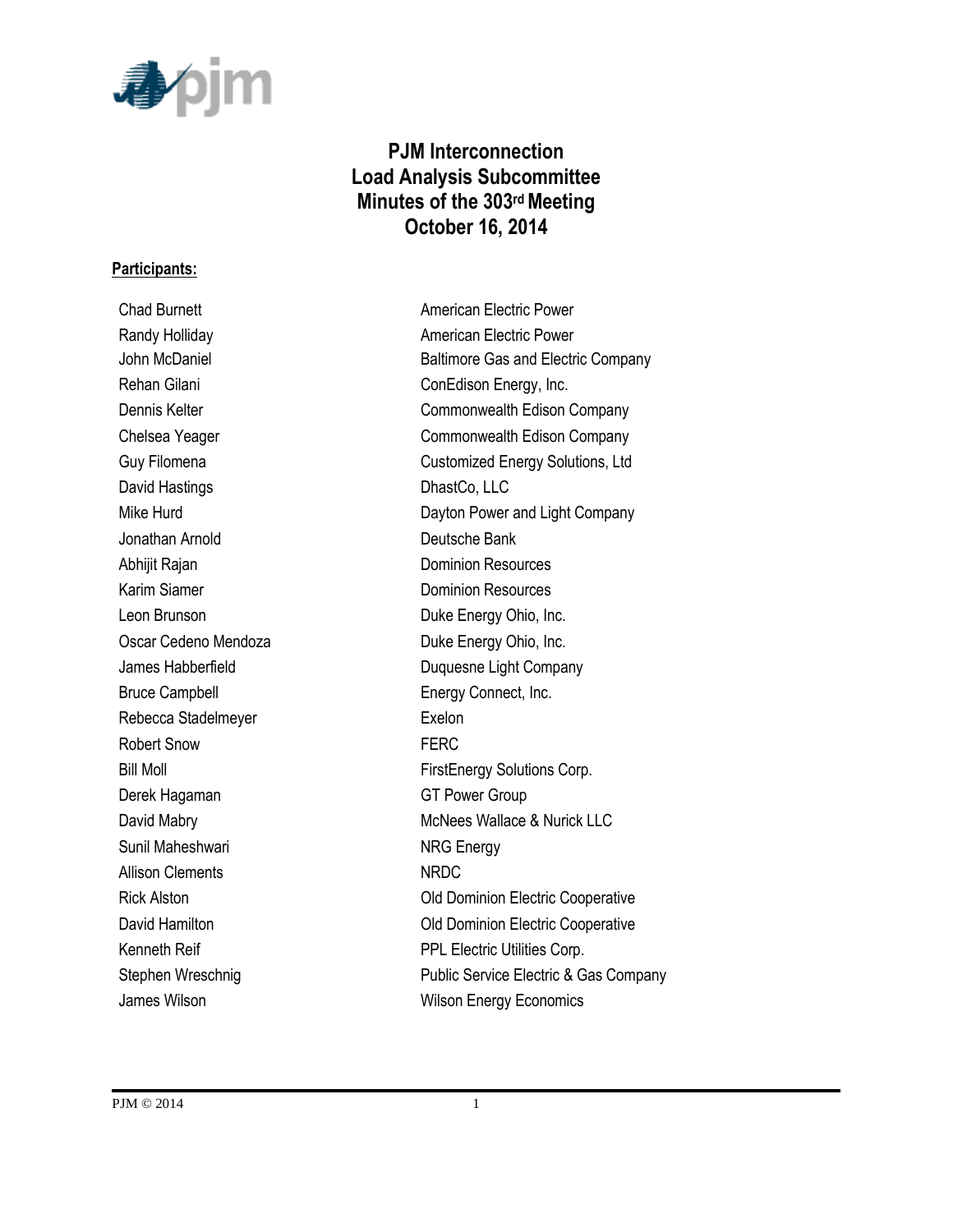

# **PJM Interconnection Load Analysis Subcommittee Minutes of the 303rdMeeting October 16, 2014**

#### **Participants:**

Chad Burnett **American Electric Power** Rehan Gilani **Confidence** ConEdison Energy, Inc. David Hastings DhastCo, LLC Jonathan Arnold Deutsche Bank Abhijit Rajan **Dominion Resources** Karim Siamer **Dominion Resources** Leon Brunson **Duke Energy Ohio, Inc.** Oscar Cedeno Mendoza Duke Energy Ohio, Inc. Bruce Campbell **Energy Connect**, Inc. Rebecca Stadelmeyer **Exelon** Robert Snow **FERC** Derek Hagaman GT Power Group Sunil Maheshwari NRG Energy Allison Clements NRDC James Wilson **Million** Wilson Energy Economics

Randy Holliday **American Electric Power** John McDaniel **Baltimore Gas and Electric Company** Dennis Kelter Commonwealth Edison Company Chelsea Yeager Commonwealth Edison Company Guy Filomena Customized Energy Solutions, Ltd Mike Hurd **Dayton Power and Light Company** James Habberfield **Duquesne Light Company** Bill Moll **FirstEnergy Solutions Corp.** David Mabry **McNees Wallace & Nurick LLC** Rick Alston **Nick Alston Old Dominion Electric Cooperative** David Hamilton **David Hamilton Old Dominion Electric Cooperative** Kenneth Reif **PPL Electric Utilities Corp.** Stephen Wreschnig **Public Service Electric & Gas Company**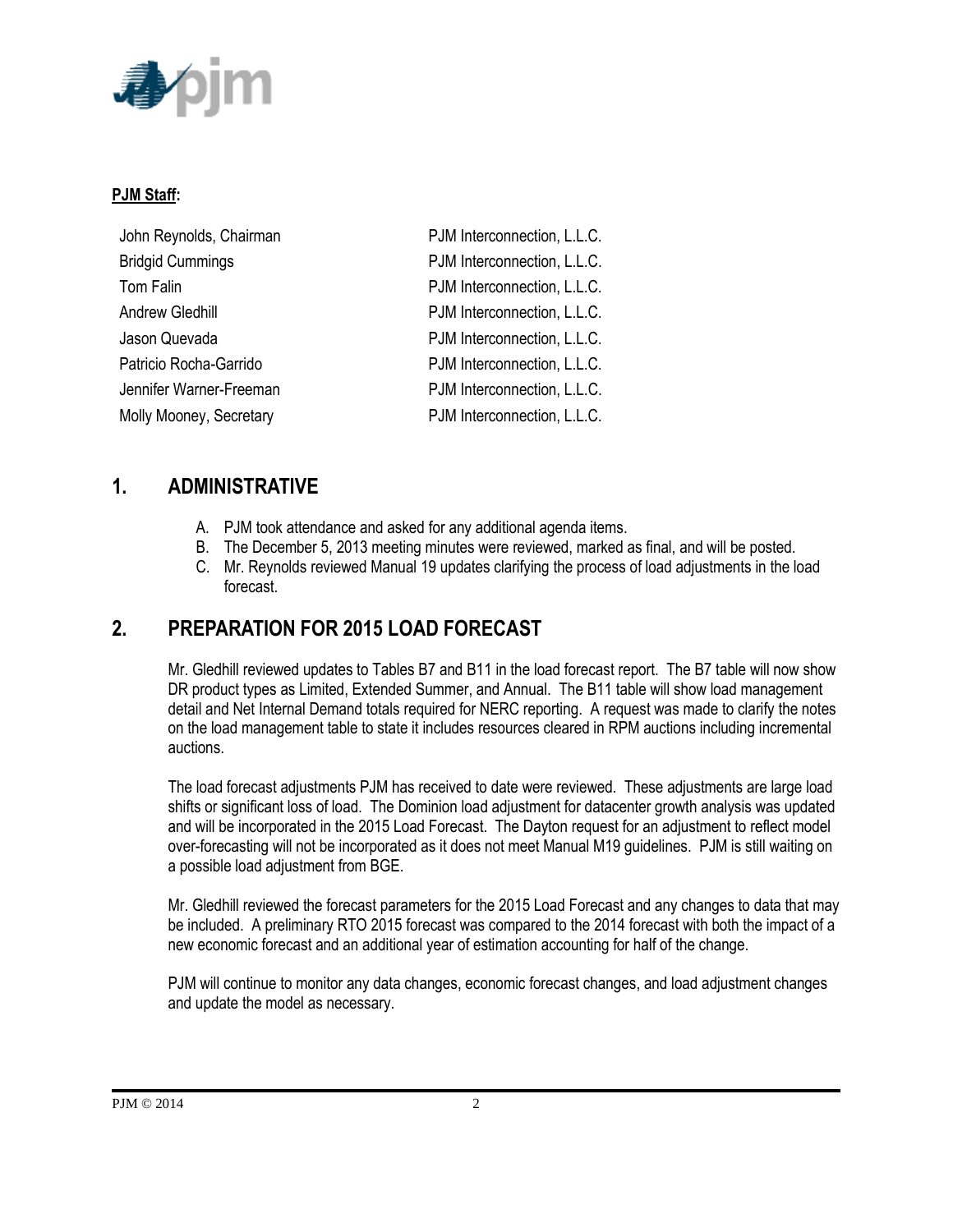

#### **PJM Staff:**

| John Reynolds, Chairman | PJM Interconnection, L.L.C. |
|-------------------------|-----------------------------|
| <b>Bridgid Cummings</b> | PJM Interconnection, L.L.C. |
| Tom Falin               | PJM Interconnection, L.L.C. |
| Andrew Gledhill         | PJM Interconnection, L.L.C. |
| Jason Quevada           | PJM Interconnection, L.L.C. |
| Patricio Rocha-Garrido  | PJM Interconnection, L.L.C. |
| Jennifer Warner-Freeman | PJM Interconnection, L.L.C. |
| Molly Mooney, Secretary | PJM Interconnection, L.L.C. |

## **1. ADMINISTRATIVE**

- A. PJM took attendance and asked for any additional agenda items.
- B. The December 5, 2013 meeting minutes were reviewed, marked as final, and will be posted.
- C. Mr. Reynolds reviewed Manual 19 updates clarifying the process of load adjustments in the load forecast.

# **2. PREPARATION FOR 2015 LOAD FORECAST**

Mr. Gledhill reviewed updates to Tables B7 and B11 in the load forecast report. The B7 table will now show DR product types as Limited, Extended Summer, and Annual. The B11 table will show load management detail and Net Internal Demand totals required for NERC reporting. A request was made to clarify the notes on the load management table to state it includes resources cleared in RPM auctions including incremental auctions.

The load forecast adjustments PJM has received to date were reviewed. These adjustments are large load shifts or significant loss of load. The Dominion load adjustment for datacenter growth analysis was updated and will be incorporated in the 2015 Load Forecast. The Dayton request for an adjustment to reflect model over-forecasting will not be incorporated as it does not meet Manual M19 guidelines. PJM is still waiting on a possible load adjustment from BGE.

Mr. Gledhill reviewed the forecast parameters for the 2015 Load Forecast and any changes to data that may be included. A preliminary RTO 2015 forecast was compared to the 2014 forecast with both the impact of a new economic forecast and an additional year of estimation accounting for half of the change.

PJM will continue to monitor any data changes, economic forecast changes, and load adjustment changes and update the model as necessary.